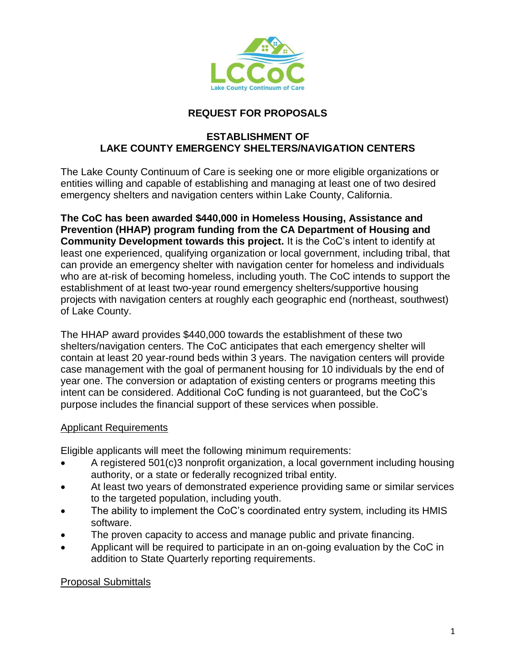

## **REQUEST FOR PROPOSALS**

## **ESTABLISHMENT OF LAKE COUNTY EMERGENCY SHELTERS/NAVIGATION CENTERS**

The Lake County Continuum of Care is seeking one or more eligible organizations or entities willing and capable of establishing and managing at least one of two desired emergency shelters and navigation centers within Lake County, California.

**The CoC has been awarded \$440,000 in Homeless Housing, Assistance and Prevention (HHAP) program funding from the CA Department of Housing and Community Development towards this project.** It is the CoC's intent to identify at least one experienced, qualifying organization or local government, including tribal, that can provide an emergency shelter with navigation center for homeless and individuals who are at-risk of becoming homeless, including youth. The CoC intends to support the establishment of at least two-year round emergency shelters/supportive housing projects with navigation centers at roughly each geographic end (northeast, southwest) of Lake County.

The HHAP award provides \$440,000 towards the establishment of these two shelters/navigation centers. The CoC anticipates that each emergency shelter will contain at least 20 year-round beds within 3 years. The navigation centers will provide case management with the goal of permanent housing for 10 individuals by the end of year one. The conversion or adaptation of existing centers or programs meeting this intent can be considered. Additional CoC funding is not guaranteed, but the CoC's purpose includes the financial support of these services when possible.

## Applicant Requirements

Eligible applicants will meet the following minimum requirements:

- A registered 501(c)3 nonprofit organization, a local government including housing authority, or a state or federally recognized tribal entity.
- At least two years of demonstrated experience providing same or similar services to the targeted population, including youth.
- The ability to implement the CoC's coordinated entry system, including its HMIS software.
- The proven capacity to access and manage public and private financing.
- Applicant will be required to participate in an on-going evaluation by the CoC in addition to State Quarterly reporting requirements.

## Proposal Submittals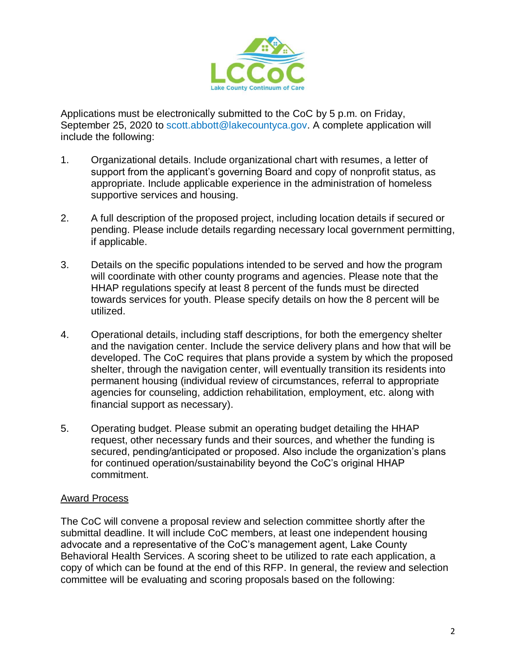

Applications must be electronically submitted to the CoC by 5 p.m. on Friday, September 25, 2020 to scott.abbott@lakecountyca.gov. A complete application will include the following:

- 1. Organizational details. Include organizational chart with resumes, a letter of support from the applicant's governing Board and copy of nonprofit status, as appropriate. Include applicable experience in the administration of homeless supportive services and housing.
- 2. A full description of the proposed project, including location details if secured or pending. Please include details regarding necessary local government permitting, if applicable.
- 3. Details on the specific populations intended to be served and how the program will coordinate with other county programs and agencies. Please note that the HHAP regulations specify at least 8 percent of the funds must be directed towards services for youth. Please specify details on how the 8 percent will be utilized.
- 4. Operational details, including staff descriptions, for both the emergency shelter and the navigation center. Include the service delivery plans and how that will be developed. The CoC requires that plans provide a system by which the proposed shelter, through the navigation center, will eventually transition its residents into permanent housing (individual review of circumstances, referral to appropriate agencies for counseling, addiction rehabilitation, employment, etc. along with financial support as necessary).
- 5. Operating budget. Please submit an operating budget detailing the HHAP request, other necessary funds and their sources, and whether the funding is secured, pending/anticipated or proposed. Also include the organization's plans for continued operation/sustainability beyond the CoC's original HHAP commitment.

### Award Process

The CoC will convene a proposal review and selection committee shortly after the submittal deadline. It will include CoC members, at least one independent housing advocate and a representative of the CoC's management agent, Lake County Behavioral Health Services. A scoring sheet to be utilized to rate each application, a copy of which can be found at the end of this RFP. In general, the review and selection committee will be evaluating and scoring proposals based on the following: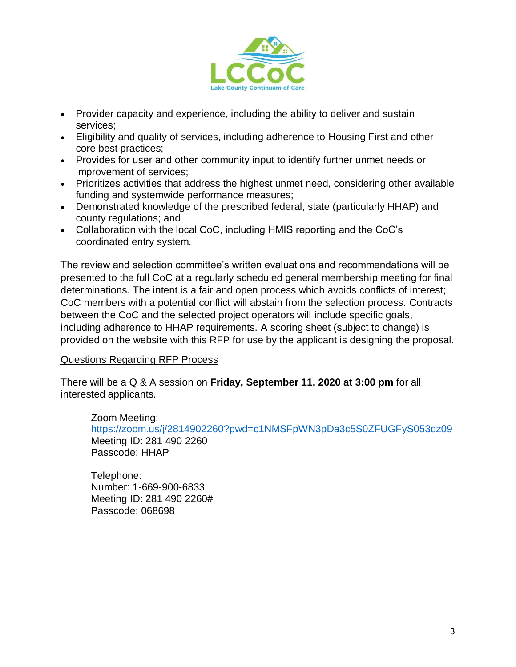

- Provider capacity and experience, including the ability to deliver and sustain services;
- Eligibility and quality of services, including adherence to Housing First and other core best practices;
- Provides for user and other community input to identify further unmet needs or improvement of services;
- Prioritizes activities that address the highest unmet need, considering other available funding and systemwide performance measures;
- Demonstrated knowledge of the prescribed federal, state (particularly HHAP) and county regulations; and
- Collaboration with the local CoC, including HMIS reporting and the CoC's coordinated entry system.

The review and selection committee's written evaluations and recommendations will be presented to the full CoC at a regularly scheduled general membership meeting for final determinations. The intent is a fair and open process which avoids conflicts of interest; CoC members with a potential conflict will abstain from the selection process. Contracts between the CoC and the selected project operators will include specific goals, including adherence to HHAP requirements. A scoring sheet (subject to change) is provided on the website with this RFP for use by the applicant is designing the proposal.

### Questions Regarding RFP Process

There will be a Q & A session on **Friday, September 11, 2020 at 3:00 pm** for all interested applicants.

Zoom Meeting: <https://zoom.us/j/2814902260?pwd=c1NMSFpWN3pDa3c5S0ZFUGFyS053dz09> Meeting ID: 281 490 2260 Passcode: HHAP

Telephone: Number: 1-669-900-6833 Meeting ID: 281 490 2260# Passcode: 068698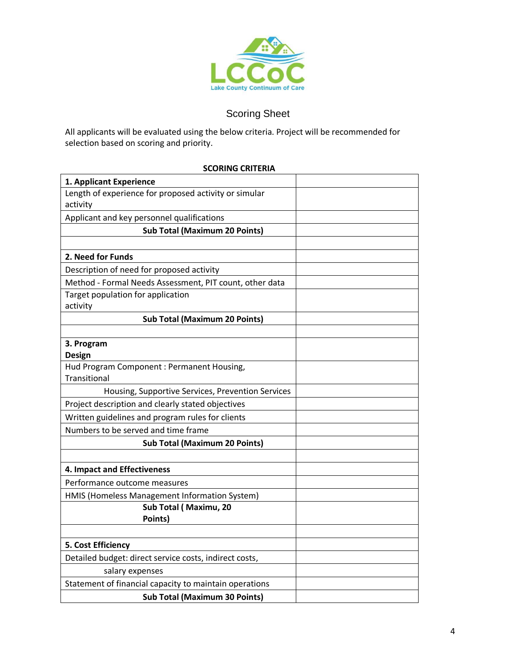

# Scoring Sheet

All applicants will be evaluated using the below criteria. Project will be recommended for selection based on scoring and priority.

#### **SCORING CRITERIA**

| 1. Applicant Experience                                           |  |
|-------------------------------------------------------------------|--|
| Length of experience for proposed activity or simular<br>activity |  |
| Applicant and key personnel qualifications                        |  |
| <b>Sub Total (Maximum 20 Points)</b>                              |  |
|                                                                   |  |
| 2. Need for Funds                                                 |  |
| Description of need for proposed activity                         |  |
| Method - Formal Needs Assessment, PIT count, other data           |  |
| Target population for application                                 |  |
| activity                                                          |  |
| <b>Sub Total (Maximum 20 Points)</b>                              |  |
|                                                                   |  |
| 3. Program                                                        |  |
| <b>Design</b><br>Hud Program Component : Permanent Housing,       |  |
| Transitional                                                      |  |
| Housing, Supportive Services, Prevention Services                 |  |
| Project description and clearly stated objectives                 |  |
| Written guidelines and program rules for clients                  |  |
| Numbers to be served and time frame                               |  |
| <b>Sub Total (Maximum 20 Points)</b>                              |  |
|                                                                   |  |
| 4. Impact and Effectiveness                                       |  |
| Performance outcome measures                                      |  |
| HMIS (Homeless Management Information System)                     |  |
| Sub Total (Maximu, 20                                             |  |
| Points)                                                           |  |
|                                                                   |  |
| 5. Cost Efficiency                                                |  |
| Detailed budget: direct service costs, indirect costs,            |  |
| salary expenses                                                   |  |
| Statement of financial capacity to maintain operations            |  |
| <b>Sub Total (Maximum 30 Points)</b>                              |  |